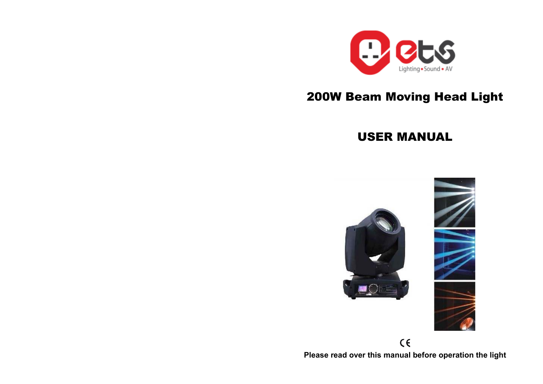

# 200W Beam Moving Head Light

## USER MANUAL



 $C \in$ **Please read over this manual before operation the light**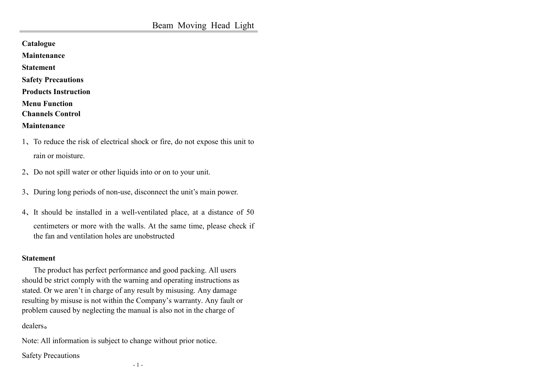**Catalogue** 

**Maintenance** 

**Statement** 

**Safety Precautions** 

**Products Instruction** 

**Menu Function** 

**Channels Control** 

**Maintenance** 

- 1、To reduce the risk of electrical shock or fire, do not expose this unit to rain or moisture.
- 2、Do not spill water or other liquids into or on to your unit.
- 3、During long periods of non-use, disconnect the unit's main power.
- 4、It should be installed in a well-ventilated place, at a distance of 50 centimeters or more with the walls. At the same time, please check if the fan and ventilation holes are unobstructed

#### **Statement**

 The product has perfect performance and good packing. All users should be strict comply with the warning and operating instructions as stated. Or we aren't in charge of any result by misusing. Any damage resulting by misuse is not within the Company's warranty. Any fault or problem caused by neglecting the manual is also not in the charge of

#### dealers。

Note: All information is subject to change without prior notice.

Safety Precautions

- 1 -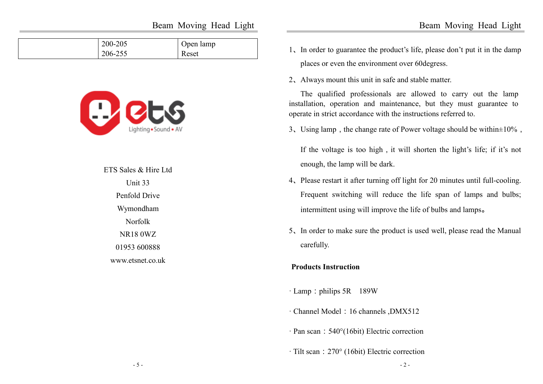Beam Moving Head Light

| 200-205 | Open lamp |
|---------|-----------|
| 206-255 | Reset     |



ETS Sales & Hire Ltd Unit 33 Penfold Drive Wymondham Norfolk NR18 0WZ 01953 600888 www.etsnet.co.uk

- 1、In order to guarantee the product's life, please don't put it in the damp places or even the environment over 60degress.
- 2、Always mount this unit in safe and stable matter.

The qualified professionals are allowed to carry out the lamp installation, operation and maintenance, but they must guarantee to operate in strict accordance with the instructions referred to.

3. Using lamp, the change rate of Power voltage should be within $\pm 10\%$ ,

If the voltage is too high, it will shorten the light's life; if it's not enough, the lamp will be dark.

- 4、Please restart it after turning off light for 20 minutes until full-cooling. Frequent switching will reduce the life span of lamps and bulbs; intermittent using will improve the life of bulbs and lamps。
- 5、In order to make sure the product is used well, please read the Manual carefully.

#### **Products Instruction**

- · Lamp: philips 5R 189W
- · Channel Model:16 channels ,DMX512
- · Pan scan: 540°(16bit) Electric correction
- · Tilt scan:270° (16bit) Electric correction